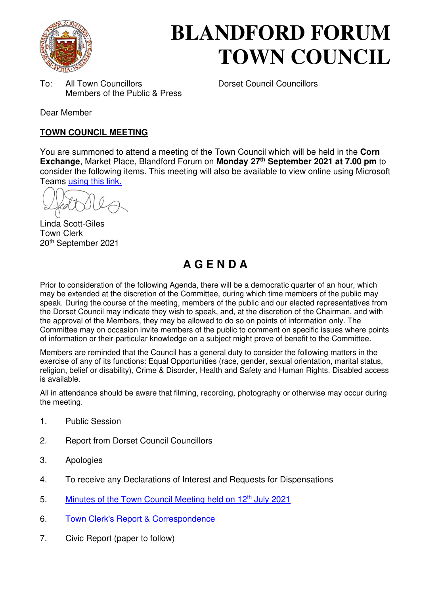

# **BLANDFORD FORUM TOWN COUNCIL**

To: All Town Councillors Dorset Council Councillors Members of the Public & Press

Dear Member

### **TOWN COUNCIL MEETING**

You are summoned to attend a meeting of the Town Council which will be held in the **Corn Exchange**, Market Place, Blandford Forum on **Monday 27th September 2021 at 7.00 pm** to consider the following items. This meeting will also be available to view online using Microsoft Teams [using this link.](https://teams.microsoft.com/l/meetup-join/19%3a2cb1b1f9de074efdad40308940ab9ba0%40thread.tacv2/1627296992554?context=%7b%22Tid%22%3a%223cd8f2fb-4c45-4162-86f1-fb87b5f6a138%22%2c%22Oid%22%3a%2265e5950c-ab1c-41cc-9090-4a755c733f54%22%7d)

Linda Scott-Giles Town Clerk 20th September 2021

# **A G E N D A**

Prior to consideration of the following Agenda, there will be a democratic quarter of an hour, which may be extended at the discretion of the Committee, during which time members of the public may speak. During the course of the meeting, members of the public and our elected representatives from the Dorset Council may indicate they wish to speak, and, at the discretion of the Chairman, and with the approval of the Members, they may be allowed to do so on points of information only. The Committee may on occasion invite members of the public to comment on specific issues where points of information or their particular knowledge on a subject might prove of benefit to the Committee.

Members are reminded that the Council has a general duty to consider the following matters in the exercise of any of its functions: Equal Opportunities (race, gender, sexual orientation, marital status, religion, belief or disability), Crime & Disorder, Health and Safety and Human Rights. Disabled access is available.

All in attendance should be aware that filming, recording, photography or otherwise may occur during the meeting.

- 1. Public Session
- 2. Report from Dorset Council Councillors
- 3. Apologies
- 4. To receive any Declarations of Interest and Requests for Dispensations
- 5. [Minutes of the Town Council Meeting held on 12](https://blandfordforum-tc.gov.uk/wp-content/uploads/2021/07/120721.pdf)<sup>th</sup> July 2021
- 6. [Town Clerk's Report & Correspondence](#page-2-0)
- 7. Civic Report (paper to follow)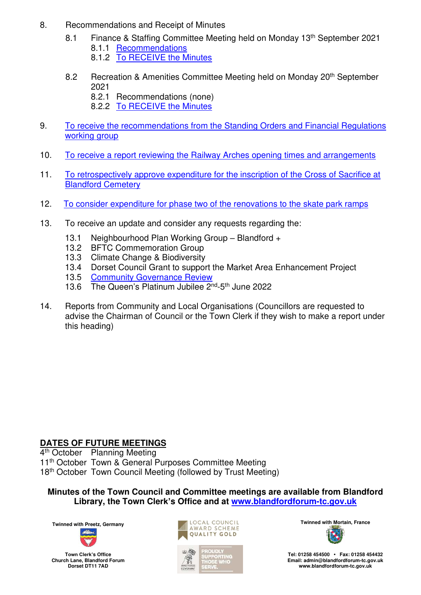- 8. Recommendations and Receipt of Minutes
	- 8.1 Finance & Staffing Committee Meeting held on Monday 13<sup>th</sup> September 2021 8.1.1 [Recommendations](#page-3-0)
		- 8.1.2 [To RECEIVE the Minutes](https://blandfordforum-tc.gov.uk/wp-content/uploads/2021/09/130921.pdf)
	- 8.2 Recreation & Amenities Committee Meeting held on Monday 20<sup>th</sup> September 2021
		- 8.2.1 Recommendations (none)
		- 8.2.2 [To RECEIVE the Minutes](https://blandfordforum-tc.gov.uk/town-council/meetingscommittees)
- 9. [To receive the recommendations from the Standing Orders and Financial Regulations](#page-4-0)  working group
- 10. [To receive a report reviewing the Railway Arches opening times and arrangements](#page-5-0)
- 11. [To retrospectively approve expenditure for the inscription of the Cross of Sacrifice at](#page-6-0)  [Blandford Cemetery](#page-6-0)
- 12. [To consider expenditure for phase two of the renovations to the skate park ramps](#page-7-0)
- 13. To receive an update and consider any requests regarding the:
	- 13.1 Neighbourhood Plan Working Group Blandford +
	- 13.2 BFTC Commemoration Group
	- 13.3 Climate Change & Biodiversity
	- 13.4 Dorset Council Grant to support the Market Area Enhancement Project
	- 13.5 [Community Governance Review](#page-8-0)
	- 13.6 The Queen's Platinum Jubilee 2<sup>nd</sup>-5<sup>th</sup> June 2022
- 14. Reports from Community and Local Organisations (Councillors are requested to advise the Chairman of Council or the Town Clerk if they wish to make a report under this heading)

# **DATES OF FUTURE MEETINGS**

4<sup>th</sup> October Planning Meeting 11<sup>th</sup> October Town & General Purposes Committee Meeting

18<sup>th</sup> October Town Council Meeting (followed by Trust Meeting)

**Minutes of the Town Council and Committee meetings are available from Blandford Library, the Town Clerk's Office and at [www.blandfordforum-tc.gov.uk](http://www.blandfordforum-tc.gov.uk/)**



**Town Clerk's Office Church Lane, Blandford Forum Dorset DT11 7AD**





**Tel: 01258 454500 • Fax: 01258 454432 Email: admin@blandfordforum-tc.gov.uk [www.blandfordforum-tc.gov.uk](http://www.blandfordforum-tc.gov.uk/)**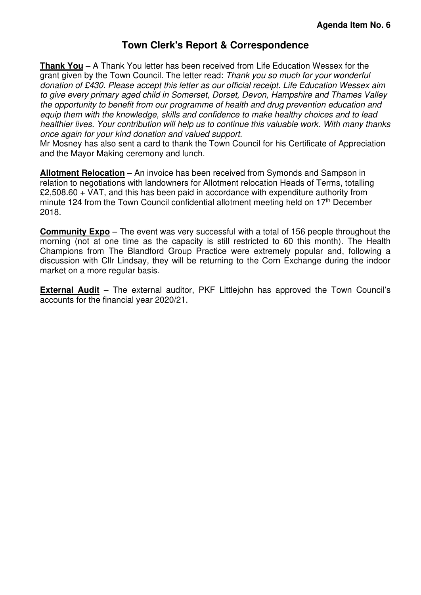# **Town Clerk's Report & Correspondence**

<span id="page-2-0"></span>**Thank You** – A Thank You letter has been received from Life Education Wessex for the grant given by the Town Council. The letter read: Thank you so much for your wonderful donation of £430. Please accept this letter as our official receipt. Life Education Wessex aim to give every primary aged child in Somerset, Dorset, Devon, Hampshire and Thames Valley the opportunity to benefit from our programme of health and drug prevention education and equip them with the knowledge, skills and confidence to make healthy choices and to lead healthier lives. Your contribution will help us to continue this valuable work. With many thanks once again for your kind donation and valued support.

Mr Mosney has also sent a card to thank the Town Council for his Certificate of Appreciation and the Mayor Making ceremony and lunch.

**Allotment Relocation** – An invoice has been received from Symonds and Sampson in relation to negotiations with landowners for Allotment relocation Heads of Terms, totalling £2,508.60 + VAT, and this has been paid in accordance with expenditure authority from minute 124 from the Town Council confidential allotment meeting held on  $17<sup>th</sup>$  December 2018.

**Community Expo** – The event was very successful with a total of 156 people throughout the morning (not at one time as the capacity is still restricted to 60 this month). The Health Champions from The Blandford Group Practice were extremely popular and, following a discussion with Cllr Lindsay, they will be returning to the Corn Exchange during the indoor market on a more regular basis.

**External Audit** – The external auditor, PKF Littlejohn has approved the Town Council's accounts for the financial year 2020/21.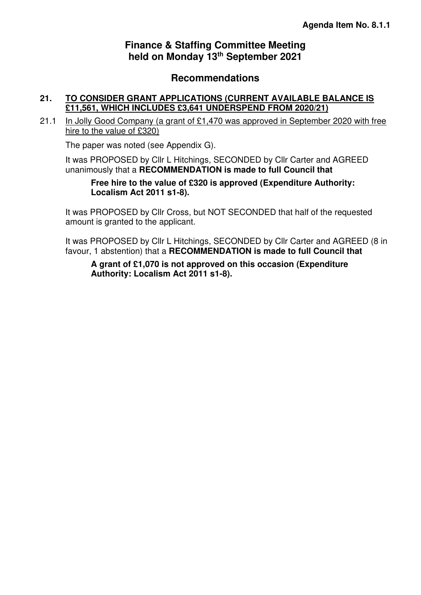# **Finance & Staffing Committee Meeting held on Monday 13th September 2021**

# **Recommendations**

#### <span id="page-3-0"></span>**21. TO CONSIDER GRANT APPLICATIONS (CURRENT AVAILABLE BALANCE IS £11,561, WHICH INCLUDES £3,641 UNDERSPEND FROM 2020/21)**

21.1 In Jolly Good Company (a grant of £1,470 was approved in September 2020 with free hire to the value of £320)

The paper was noted (see Appendix G).

It was PROPOSED by Cllr L Hitchings, SECONDED by Cllr Carter and AGREED unanimously that a **RECOMMENDATION is made to full Council that**

**Free hire to the value of £320 is approved (Expenditure Authority: Localism Act 2011 s1-8).** 

It was PROPOSED by Cllr Cross, but NOT SECONDED that half of the requested amount is granted to the applicant.

It was PROPOSED by Cllr L Hitchings, SECONDED by Cllr Carter and AGREED (8 in favour, 1 abstention) that a **RECOMMENDATION is made to full Council that**

**A grant of £1,070 is not approved on this occasion (Expenditure Authority: Localism Act 2011 s1-8).**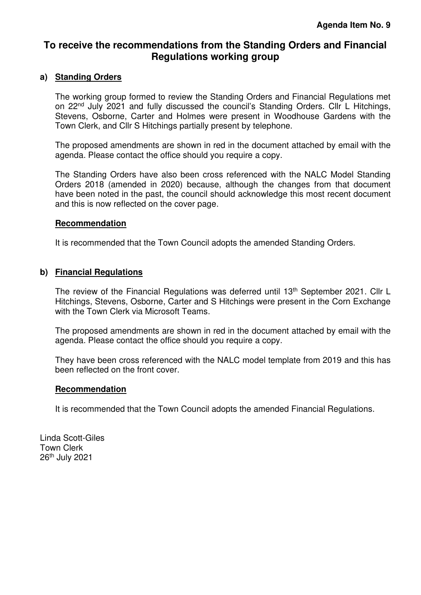# <span id="page-4-0"></span>**To receive the recommendations from the Standing Orders and Financial Regulations working group**

#### **a) Standing Orders**

The working group formed to review the Standing Orders and Financial Regulations met on 22nd July 2021 and fully discussed the council's Standing Orders. Cllr L Hitchings, Stevens, Osborne, Carter and Holmes were present in Woodhouse Gardens with the Town Clerk, and Cllr S Hitchings partially present by telephone.

The proposed amendments are shown in red in the document attached by email with the agenda. Please contact the office should you require a copy.

The Standing Orders have also been cross referenced with the NALC Model Standing Orders 2018 (amended in 2020) because, although the changes from that document have been noted in the past, the council should acknowledge this most recent document and this is now reflected on the cover page.

#### **Recommendation**

It is recommended that the Town Council adopts the amended Standing Orders.

#### **b) Financial Regulations**

The review of the Financial Regulations was deferred until 13<sup>th</sup> September 2021. Cllr L Hitchings, Stevens, Osborne, Carter and S Hitchings were present in the Corn Exchange with the Town Clerk via Microsoft Teams.

The proposed amendments are shown in red in the document attached by email with the agenda. Please contact the office should you require a copy.

They have been cross referenced with the NALC model template from 2019 and this has been reflected on the front cover.

#### **Recommendation**

It is recommended that the Town Council adopts the amended Financial Regulations.

Linda Scott-Giles Town Clerk 26th July 2021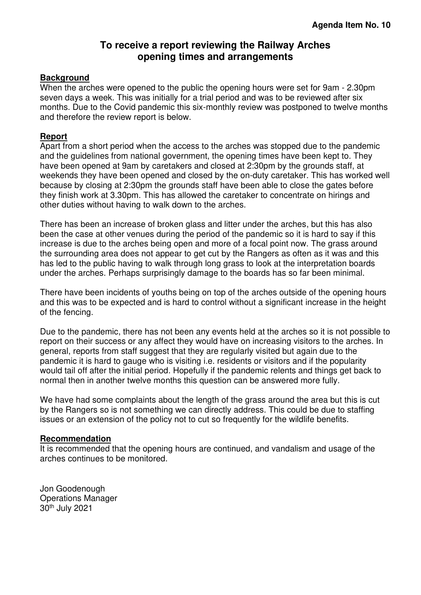# **To receive a report reviewing the Railway Arches opening times and arrangements**

#### <span id="page-5-0"></span>**Background**

When the arches were opened to the public the opening hours were set for 9am - 2.30pm seven days a week. This was initially for a trial period and was to be reviewed after six months. Due to the Covid pandemic this six-monthly review was postponed to twelve months and therefore the review report is below.

#### **Report**

Apart from a short period when the access to the arches was stopped due to the pandemic and the guidelines from national government, the opening times have been kept to. They have been opened at 9am by caretakers and closed at 2:30pm by the grounds staff, at weekends they have been opened and closed by the on-duty caretaker. This has worked well because by closing at 2:30pm the grounds staff have been able to close the gates before they finish work at 3.30pm. This has allowed the caretaker to concentrate on hirings and other duties without having to walk down to the arches.

There has been an increase of broken glass and litter under the arches, but this has also been the case at other venues during the period of the pandemic so it is hard to say if this increase is due to the arches being open and more of a focal point now. The grass around the surrounding area does not appear to get cut by the Rangers as often as it was and this has led to the public having to walk through long grass to look at the interpretation boards under the arches. Perhaps surprisingly damage to the boards has so far been minimal.

There have been incidents of youths being on top of the arches outside of the opening hours and this was to be expected and is hard to control without a significant increase in the height of the fencing.

Due to the pandemic, there has not been any events held at the arches so it is not possible to report on their success or any affect they would have on increasing visitors to the arches. In general, reports from staff suggest that they are regularly visited but again due to the pandemic it is hard to gauge who is visiting i.e. residents or visitors and if the popularity would tail off after the initial period. Hopefully if the pandemic relents and things get back to normal then in another twelve months this question can be answered more fully.

We have had some complaints about the length of the grass around the area but this is cut by the Rangers so is not something we can directly address. This could be due to staffing issues or an extension of the policy not to cut so frequently for the wildlife benefits.

#### **Recommendation**

It is recommended that the opening hours are continued, and vandalism and usage of the arches continues to be monitored.

Jon Goodenough Operations Manager 30th July 2021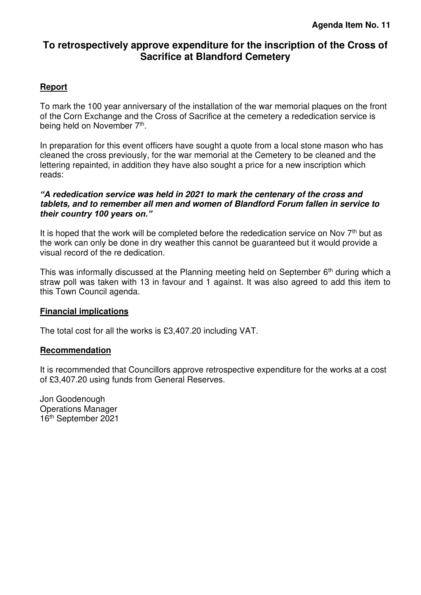# <span id="page-6-0"></span>**To retrospectively approve expenditure for the inscription of the Cross of Sacrifice at Blandford Cemetery**

#### **Report**

To mark the 100 year anniversary of the installation of the war memorial plaques on the front of the Corn Exchange and the Cross of Sacrifice at the cemetery a rededication service is being held on November 7<sup>th</sup>.

In preparation for this event officers have sought a quote from a local stone mason who has cleaned the cross previously, for the war memorial at the Cemetery to be cleaned and the lettering repainted, in addition they have also sought a price for a new inscription which reads:

#### *"A rededication servi***ce was held in 2021 to mark the centenary of the cross and tablets, and to remember all men and women of Blandford Forum fallen in service to**  *their country 100 years on."*

It is hoped that the work will be completed before the rededication service on Nov  $7<sup>th</sup>$  but as the work can only be done in dry weather this cannot be guaranteed but it would provide a visual record of the re dedication.

This was informally discussed at the Planning meeting held on September  $6<sup>th</sup>$  during which a straw poll was taken with 13 in favour and 1 against. It was also agreed to add this item to this Town Council agenda.

#### **Financial implications**

The total cost for all the works is £3,407.20 including VAT.

#### **Recommendation**

It is recommended that Councillors approve retrospective expenditure for the works at a cost of £3,407.20 using funds from General Reserves.

Jon Goodenough Operations Manager 16th September 2021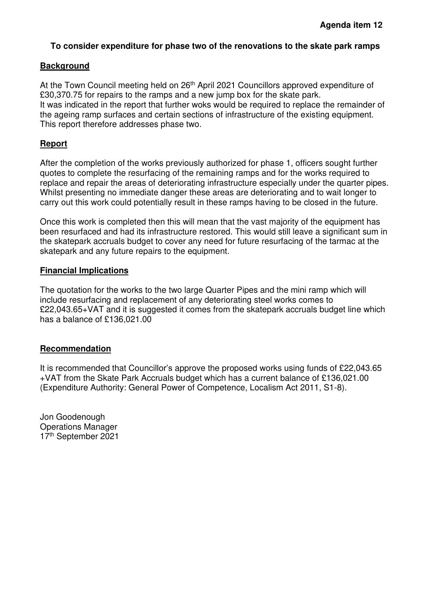#### <span id="page-7-0"></span>**To consider expenditure for phase two of the renovations to the skate park ramps**

#### **Background**

At the Town Council meeting held on 26<sup>th</sup> April 2021 Councillors approved expenditure of £30,370.75 for repairs to the ramps and a new jump box for the skate park. It was indicated in the report that further woks would be required to replace the remainder of the ageing ramp surfaces and certain sections of infrastructure of the existing equipment. This report therefore addresses phase two.

#### **Report**

After the completion of the works previously authorized for phase 1, officers sought further quotes to complete the resurfacing of the remaining ramps and for the works required to replace and repair the areas of deteriorating infrastructure especially under the quarter pipes. Whilst presenting no immediate danger these areas are deteriorating and to wait longer to carry out this work could potentially result in these ramps having to be closed in the future.

Once this work is completed then this will mean that the vast majority of the equipment has been resurfaced and had its infrastructure restored. This would still leave a significant sum in the skatepark accruals budget to cover any need for future resurfacing of the tarmac at the skatepark and any future repairs to the equipment.

#### **Financial Implications**

The quotation for the works to the two large Quarter Pipes and the mini ramp which will include resurfacing and replacement of any deteriorating steel works comes to £22,043.65+VAT and it is suggested it comes from the skatepark accruals budget line which has a balance of £136,021.00

#### **Recommendation**

It is recommended that Councillor's approve the proposed works using funds of £22,043.65 +VAT from the Skate Park Accruals budget which has a current balance of £136,021.00 (Expenditure Authority: General Power of Competence, Localism Act 2011, S1-8).

Jon Goodenough Operations Manager 17th September 2021